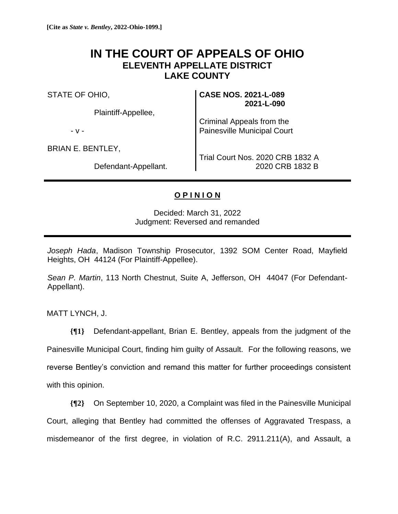## **IN THE COURT OF APPEALS OF OHIO ELEVENTH APPELLATE DISTRICT LAKE COUNTY**

STATE OF OHIO,

Plaintiff-Appellee,

- v -

BRIAN E. BENTLEY,

Defendant-Appellant.

**CASE NOS. 2021-L-089 2021-L-090**

Criminal Appeals from the Painesville Municipal Court

Trial Court Nos. 2020 CRB 1832 A 2020 CRB 1832 B

## **O P I N I O N**

Decided: March 31, 2022 Judgment: Reversed and remanded

*Joseph Hada*, Madison Township Prosecutor, 1392 SOM Center Road, Mayfield Heights, OH 44124 (For Plaintiff-Appellee).

*Sean P. Martin*, 113 North Chestnut, Suite A, Jefferson, OH 44047 (For Defendant-Appellant).

MATT LYNCH, J.

**{¶1}** Defendant-appellant, Brian E. Bentley, appeals from the judgment of the Painesville Municipal Court, finding him guilty of Assault. For the following reasons, we reverse Bentley's conviction and remand this matter for further proceedings consistent with this opinion.

**{¶2}** On September 10, 2020, a Complaint was filed in the Painesville Municipal Court, alleging that Bentley had committed the offenses of Aggravated Trespass, a misdemeanor of the first degree, in violation of R.C. 2911.211(A), and Assault, a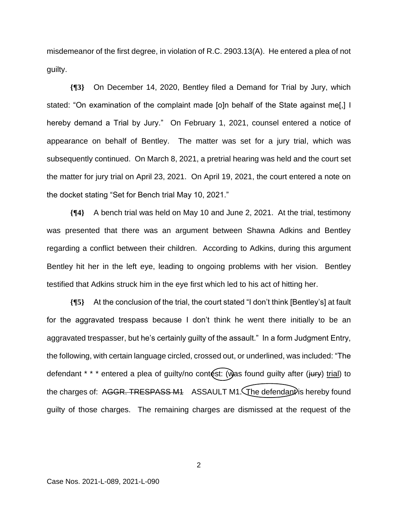misdemeanor of the first degree, in violation of R.C. 2903.13(A). He entered a plea of not guilty.

**{¶3}** On December 14, 2020, Bentley filed a Demand for Trial by Jury, which stated: "On examination of the complaint made [o]n behalf of the State against me[,] I hereby demand a Trial by Jury." On February 1, 2021, counsel entered a notice of appearance on behalf of Bentley. The matter was set for a jury trial, which was subsequently continued. On March 8, 2021, a pretrial hearing was held and the court set the matter for jury trial on April 23, 2021. On April 19, 2021, the court entered a note on the docket stating "Set for Bench trial May 10, 2021."

**{¶4}** A bench trial was held on May 10 and June 2, 2021. At the trial, testimony was presented that there was an argument between Shawna Adkins and Bentley regarding a conflict between their children. According to Adkins, during this argument Bentley hit her in the left eye, leading to ongoing problems with her vision. Bentley testified that Adkins struck him in the eye first which led to his act of hitting her.

**{¶5}** At the conclusion of the trial, the court stated "I don't think [Bentley's] at fault for the aggravated trespass because I don't think he went there initially to be an aggravated trespasser, but he's certainly guilty of the assault." In a form Judgment Entry, the following, with certain language circled, crossed out, or underlined, was included: "The defendant  $* * *$  entered a plea of guilty/no contest: (was found guilty after (jury) trial) to the charges of:  $AGGR$ . TRESPASS M1 ASSAULT M1. The defendant is hereby found guilty of those charges. The remaining charges are dismissed at the request of the

2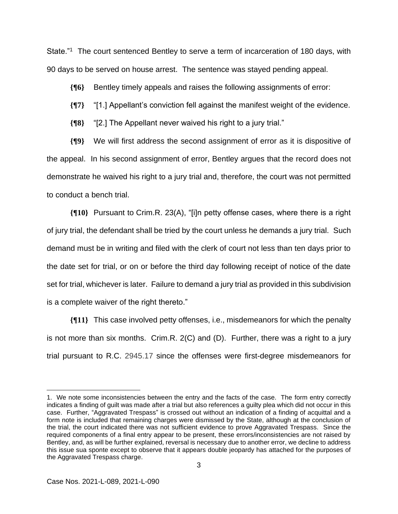State."<sup>1</sup> The court sentenced Bentley to serve a term of incarceration of 180 days, with 90 days to be served on house arrest. The sentence was stayed pending appeal.

**{¶6}** Bentley timely appeals and raises the following assignments of error:

**{¶7}** "[1.] Appellant's conviction fell against the manifest weight of the evidence.

**{¶8}** "[2.] The Appellant never waived his right to a jury trial."

**{¶9}** We will first address the second assignment of error as it is dispositive of the appeal. In his second assignment of error, Bentley argues that the record does not demonstrate he waived his right to a jury trial and, therefore, the court was not permitted to conduct a bench trial.

**{¶10}** Pursuant to Crim.R. 23(A), "[i]n petty offense cases, where there is a right of jury trial, the defendant shall be tried by the court unless he demands a jury trial. Such demand must be in writing and filed with the clerk of court not less than ten days prior to the date set for trial, or on or before the third day following receipt of notice of the date set for trial, whichever is later. Failure to demand a jury trial as provided in this subdivision is a complete waiver of the right thereto."

**{¶11}** This case involved petty offenses, i.e., misdemeanors for which the penalty is not more than six months. Crim.R. 2(C) and (D). Further, there was a right to a jury trial pursuant to R.C. 2945.17 since the offenses were first-degree misdemeanors for

<sup>1.</sup> We note some inconsistencies between the entry and the facts of the case. The form entry correctly indicates a finding of guilt was made after a trial but also references a guilty plea which did not occur in this case. Further, "Aggravated Trespass" is crossed out without an indication of a finding of acquittal and a form note is included that remaining charges were dismissed by the State, although at the conclusion of the trial, the court indicated there was not sufficient evidence to prove Aggravated Trespass. Since the required components of a final entry appear to be present, these errors/inconsistencies are not raised by Bentley, and, as will be further explained, reversal is necessary due to another error, we decline to address this issue sua sponte except to observe that it appears double jeopardy has attached for the purposes of the Aggravated Trespass charge.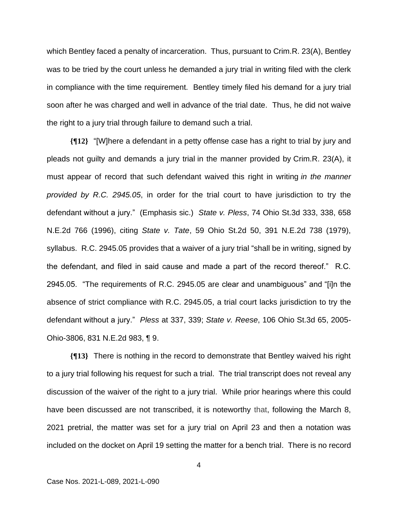which Bentley faced a penalty of incarceration. Thus, pursuant to Crim.R. 23(A), Bentley was to be tried by the court unless he demanded a jury trial in writing filed with the clerk in compliance with the time requirement. Bentley timely filed his demand for a jury trial soon after he was charged and well in advance of the trial date. Thus, he did not waive the right to a jury trial through failure to demand such a trial.

**{¶12}** "[W]here a defendant in a petty offense case has a right to trial by jury and pleads not guilty and demands a jury trial in the manner provided by Crim.R. 23(A), it must appear of record that such defendant waived this right in writing *in the manner provided by R.C. 2945.05*, in order for the trial court to have jurisdiction to try the defendant without a jury." (Emphasis sic.) *State v. Pless*, 74 Ohio St.3d 333, 338, 658 N.E.2d 766 (1996), citing *State v. Tate*, 59 Ohio St.2d 50, 391 N.E.2d 738 (1979), syllabus. R.C. 2945.05 provides that a waiver of a jury trial "shall be in writing, signed by the defendant, and filed in said cause and made a part of the record thereof." R.C. 2945.05. "The requirements of R.C. 2945.05 are clear and unambiguous" and "[i]n the absence of strict compliance with R.C. 2945.05, a trial court lacks jurisdiction to try the defendant without a jury." *Pless* at 337, 339; *State v. Reese*, 106 Ohio St.3d 65, 2005- Ohio-3806, 831 N.E.2d 983, ¶ 9.

**{¶13}** There is nothing in the record to demonstrate that Bentley waived his right to a jury trial following his request for such a trial. The trial transcript does not reveal any discussion of the waiver of the right to a jury trial. While prior hearings where this could have been discussed are not transcribed, it is noteworthy that, following the March 8, 2021 pretrial, the matter was set for a jury trial on April 23 and then a notation was included on the docket on April 19 setting the matter for a bench trial. There is no record

4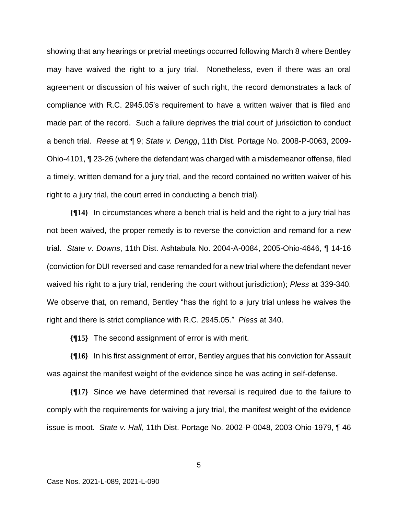showing that any hearings or pretrial meetings occurred following March 8 where Bentley may have waived the right to a jury trial. Nonetheless, even if there was an oral agreement or discussion of his waiver of such right, the record demonstrates a lack of compliance with R.C. 2945.05's requirement to have a written waiver that is filed and made part of the record. Such a failure deprives the trial court of jurisdiction to conduct a bench trial. *Reese* at ¶ 9; *State v. Dengg*, 11th Dist. Portage No. 2008-P-0063, 2009- Ohio-4101, ¶ 23-26 (where the defendant was charged with a misdemeanor offense, filed a timely, written demand for a jury trial, and the record contained no written waiver of his right to a jury trial, the court erred in conducting a bench trial).

**{¶14}** In circumstances where a bench trial is held and the right to a jury trial has not been waived, the proper remedy is to reverse the conviction and remand for a new trial. *State v. Downs*, 11th Dist. Ashtabula No. 2004-A-0084, 2005-Ohio-4646, ¶ 14-16 (conviction for DUI reversed and case remanded for a new trial where the defendant never waived his right to a jury trial, rendering the court without jurisdiction); *Pless* at 339-340. We observe that, on remand, Bentley "has the right to a jury trial unless he waives the right and there is strict compliance with R.C. 2945.05." *Pless* at 340.

**{¶15}** The second assignment of error is with merit.

**{¶16}** In his first assignment of error, Bentley argues that his conviction for Assault was against the manifest weight of the evidence since he was acting in self-defense.

**{¶17}** Since we have determined that reversal is required due to the failure to comply with the requirements for waiving a jury trial, the manifest weight of the evidence issue is moot. *State v. Hall*, 11th Dist. Portage No. 2002-P-0048, 2003-Ohio-1979, ¶ 46

5